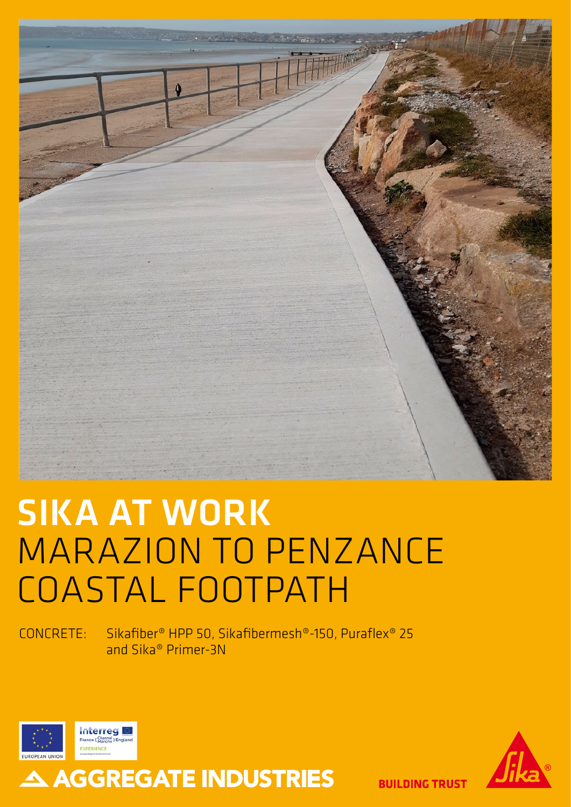

# SIKA AT WORK MARAZION TO PENZANCE COASTAL FOOTPATH

A AGGREGATE INDUSTRIES

CONCRETE: Sikafiber® HPP 50, Sikafibermesh®-150, Puraflex® 25 and Sika® Primer-3N





**BUILDING TRUST**